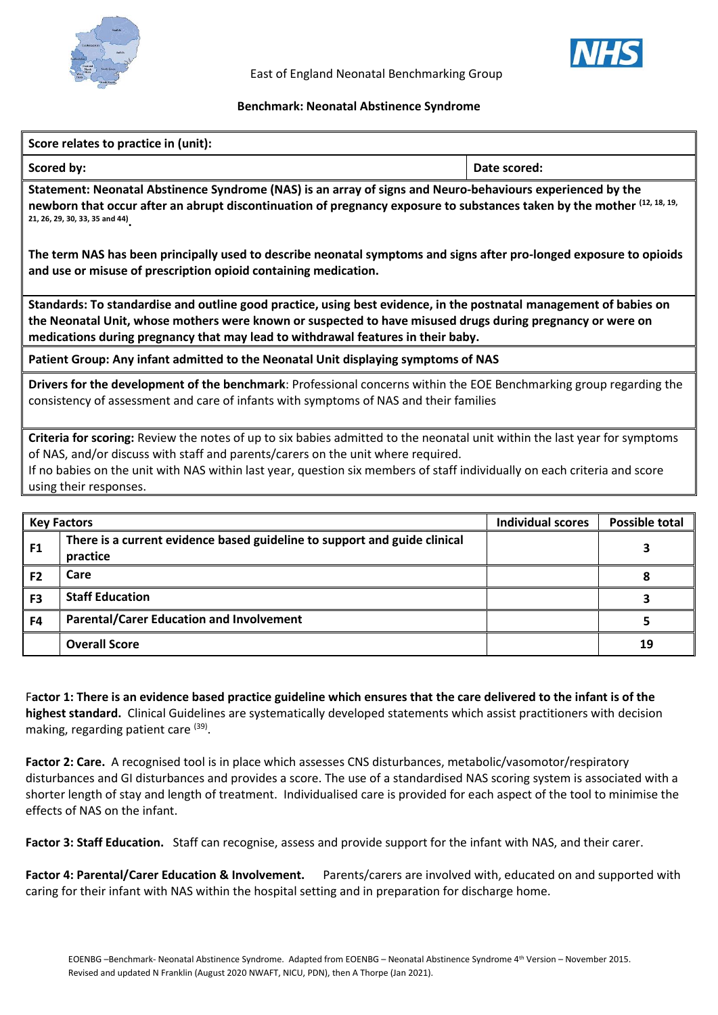



East of England Neonatal Benchmarking Group

## **Benchmark: Neonatal Abstinence Syndrome**

| Score relates to practice in (unit):                                                                                                                                                                                                                                                                                                                                  |                                                                                       |                          |                       |  |  |  |  |
|-----------------------------------------------------------------------------------------------------------------------------------------------------------------------------------------------------------------------------------------------------------------------------------------------------------------------------------------------------------------------|---------------------------------------------------------------------------------------|--------------------------|-----------------------|--|--|--|--|
| Scored by:                                                                                                                                                                                                                                                                                                                                                            |                                                                                       | Date scored:             |                       |  |  |  |  |
| Statement: Neonatal Abstinence Syndrome (NAS) is an array of signs and Neuro-behaviours experienced by the<br>newborn that occur after an abrupt discontinuation of pregnancy exposure to substances taken by the mother (12, 18, 19,<br>21, 26, 29, 30, 33, 35 and 44)                                                                                               |                                                                                       |                          |                       |  |  |  |  |
| The term NAS has been principally used to describe neonatal symptoms and signs after pro-longed exposure to opioids<br>and use or misuse of prescription opioid containing medication.                                                                                                                                                                                |                                                                                       |                          |                       |  |  |  |  |
| Standards: To standardise and outline good practice, using best evidence, in the postnatal management of babies on<br>the Neonatal Unit, whose mothers were known or suspected to have misused drugs during pregnancy or were on<br>medications during pregnancy that may lead to withdrawal features in their baby.                                                  |                                                                                       |                          |                       |  |  |  |  |
| Patient Group: Any infant admitted to the Neonatal Unit displaying symptoms of NAS                                                                                                                                                                                                                                                                                    |                                                                                       |                          |                       |  |  |  |  |
| Drivers for the development of the benchmark: Professional concerns within the EOE Benchmarking group regarding the<br>consistency of assessment and care of infants with symptoms of NAS and their families                                                                                                                                                          |                                                                                       |                          |                       |  |  |  |  |
| Criteria for scoring: Review the notes of up to six babies admitted to the neonatal unit within the last year for symptoms<br>of NAS, and/or discuss with staff and parents/carers on the unit where required.<br>If no babies on the unit with NAS within last year, question six members of staff individually on each criteria and score<br>using their responses. |                                                                                       |                          |                       |  |  |  |  |
|                                                                                                                                                                                                                                                                                                                                                                       | <b>Key Factors</b>                                                                    | <b>Individual scores</b> | <b>Possible total</b> |  |  |  |  |
| F <sub>1</sub>                                                                                                                                                                                                                                                                                                                                                        | There is a current evidence based guideline to support and guide clinical<br>practice |                          | 3                     |  |  |  |  |
| F <sub>2</sub>                                                                                                                                                                                                                                                                                                                                                        | Care                                                                                  |                          | 8                     |  |  |  |  |
| F <sub>3</sub>                                                                                                                                                                                                                                                                                                                                                        | <b>Staff Education</b>                                                                |                          | 3                     |  |  |  |  |
| F4                                                                                                                                                                                                                                                                                                                                                                    | <b>Parental/Carer Education and Involvement</b>                                       |                          | 5                     |  |  |  |  |
|                                                                                                                                                                                                                                                                                                                                                                       | <b>Overall Score</b>                                                                  |                          | 19                    |  |  |  |  |

F**actor 1: There is an evidence based practice guideline which ensures that the care delivered to the infant is of the highest standard.** Clinical Guidelines are systematically developed statements which assist practitioners with decision making, regarding patient care <sup>(39)</sup>.

**Factor 2: Care.** A recognised tool is in place which assesses CNS disturbances, metabolic/vasomotor/respiratory disturbances and GI disturbances and provides a score. The use of a standardised NAS scoring system is associated with a shorter length of stay and length of treatment. Individualised care is provided for each aspect of the tool to minimise the effects of NAS on the infant.

**Factor 3: Staff Education.** Staff can recognise, assess and provide support for the infant with NAS, and their carer.

**Factor 4: Parental/Carer Education & Involvement.** Parents/carers are involved with, educated on and supported with caring for their infant with NAS within the hospital setting and in preparation for discharge home.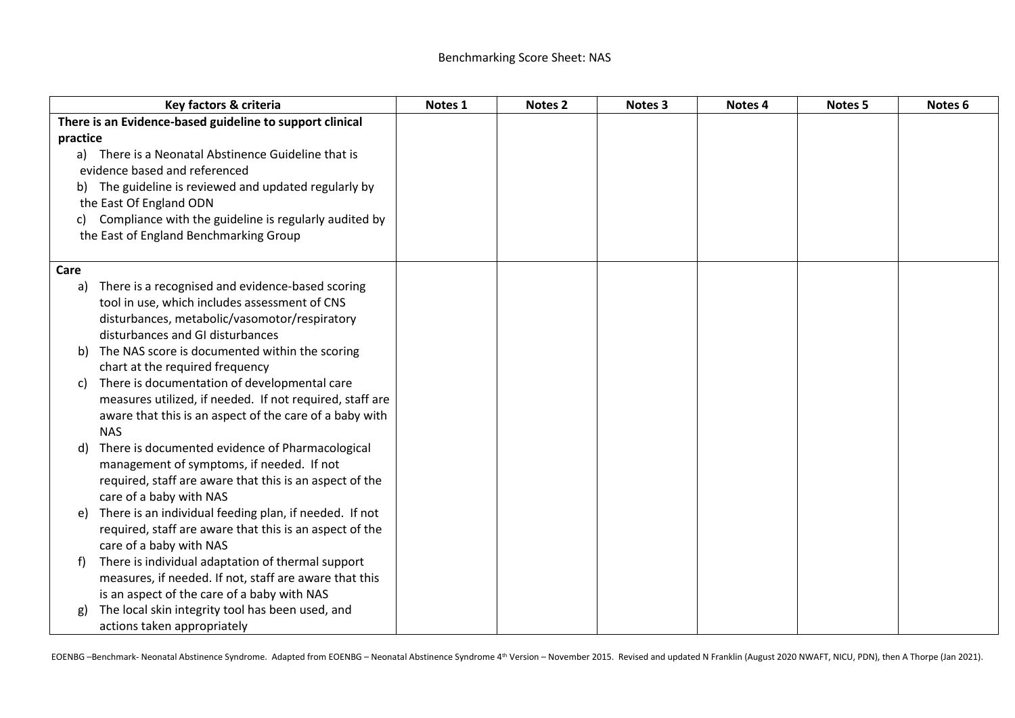| Key factors & criteria                                       | Notes 1 | Notes <sub>2</sub> | Notes 3 | Notes 4 | Notes <sub>5</sub> | Notes <sub>6</sub> |
|--------------------------------------------------------------|---------|--------------------|---------|---------|--------------------|--------------------|
| There is an Evidence-based guideline to support clinical     |         |                    |         |         |                    |                    |
| practice                                                     |         |                    |         |         |                    |                    |
| a) There is a Neonatal Abstinence Guideline that is          |         |                    |         |         |                    |                    |
| evidence based and referenced                                |         |                    |         |         |                    |                    |
| b) The guideline is reviewed and updated regularly by        |         |                    |         |         |                    |                    |
| the East Of England ODN                                      |         |                    |         |         |                    |                    |
| Compliance with the guideline is regularly audited by<br>C)  |         |                    |         |         |                    |                    |
| the East of England Benchmarking Group                       |         |                    |         |         |                    |                    |
|                                                              |         |                    |         |         |                    |                    |
| Care                                                         |         |                    |         |         |                    |                    |
| There is a recognised and evidence-based scoring<br>a)       |         |                    |         |         |                    |                    |
| tool in use, which includes assessment of CNS                |         |                    |         |         |                    |                    |
| disturbances, metabolic/vasomotor/respiratory                |         |                    |         |         |                    |                    |
| disturbances and GI disturbances                             |         |                    |         |         |                    |                    |
| The NAS score is documented within the scoring<br>b)         |         |                    |         |         |                    |                    |
| chart at the required frequency                              |         |                    |         |         |                    |                    |
| There is documentation of developmental care<br>C)           |         |                    |         |         |                    |                    |
| measures utilized, if needed. If not required, staff are     |         |                    |         |         |                    |                    |
| aware that this is an aspect of the care of a baby with      |         |                    |         |         |                    |                    |
| <b>NAS</b>                                                   |         |                    |         |         |                    |                    |
| There is documented evidence of Pharmacological<br>d)        |         |                    |         |         |                    |                    |
| management of symptoms, if needed. If not                    |         |                    |         |         |                    |                    |
| required, staff are aware that this is an aspect of the      |         |                    |         |         |                    |                    |
| care of a baby with NAS                                      |         |                    |         |         |                    |                    |
| There is an individual feeding plan, if needed. If not<br>e) |         |                    |         |         |                    |                    |
| required, staff are aware that this is an aspect of the      |         |                    |         |         |                    |                    |
| care of a baby with NAS                                      |         |                    |         |         |                    |                    |
| There is individual adaptation of thermal support<br>f)      |         |                    |         |         |                    |                    |
| measures, if needed. If not, staff are aware that this       |         |                    |         |         |                    |                    |
| is an aspect of the care of a baby with NAS                  |         |                    |         |         |                    |                    |
| The local skin integrity tool has been used, and<br>g)       |         |                    |         |         |                    |                    |
| actions taken appropriately                                  |         |                    |         |         |                    |                    |

EOENBG -Benchmark- Neonatal Abstinence Syndrome. Adapted from EOENBG - Neonatal Abstinence Syndrome 4<sup>th</sup> Version - November 2015. Revised and updated N Franklin (August 2020 NWAFT, NICU, PDN), then A Thorpe (Jan 2021).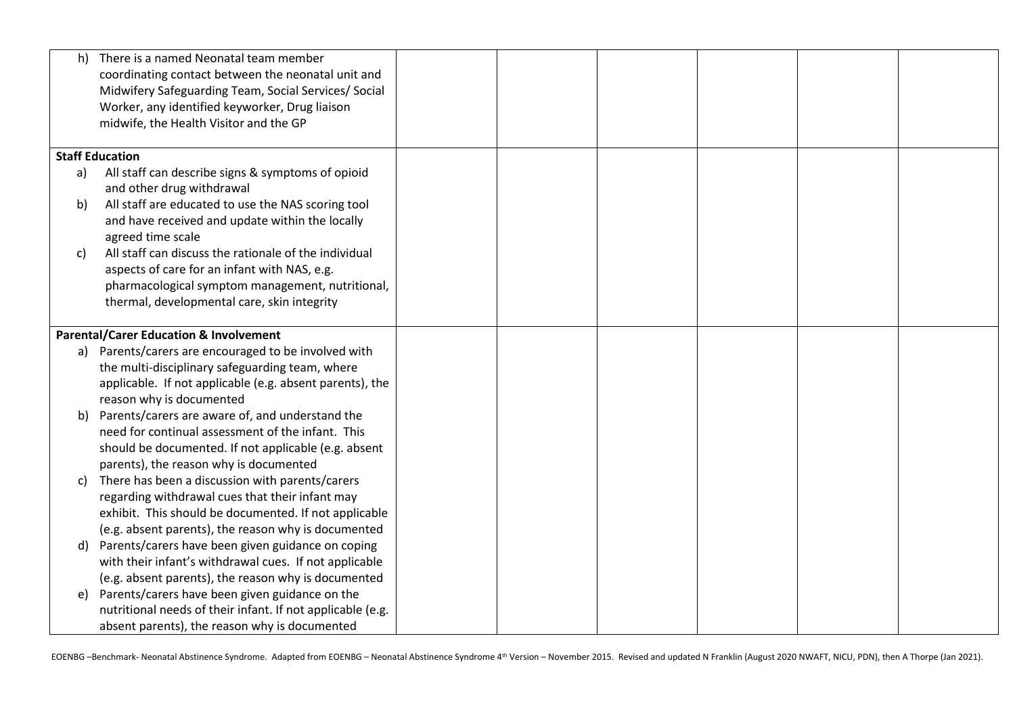| h)                                                | There is a named Neonatal team member                      |  |  |  |
|---------------------------------------------------|------------------------------------------------------------|--|--|--|
|                                                   | coordinating contact between the neonatal unit and         |  |  |  |
|                                                   | Midwifery Safeguarding Team, Social Services/ Social       |  |  |  |
|                                                   | Worker, any identified keyworker, Drug liaison             |  |  |  |
|                                                   | midwife, the Health Visitor and the GP                     |  |  |  |
|                                                   |                                                            |  |  |  |
|                                                   | <b>Staff Education</b>                                     |  |  |  |
| a)                                                | All staff can describe signs & symptoms of opioid          |  |  |  |
|                                                   | and other drug withdrawal                                  |  |  |  |
| b)                                                | All staff are educated to use the NAS scoring tool         |  |  |  |
|                                                   | and have received and update within the locally            |  |  |  |
|                                                   | agreed time scale                                          |  |  |  |
| C)                                                | All staff can discuss the rationale of the individual      |  |  |  |
|                                                   | aspects of care for an infant with NAS, e.g.               |  |  |  |
|                                                   | pharmacological symptom management, nutritional,           |  |  |  |
|                                                   | thermal, developmental care, skin integrity                |  |  |  |
|                                                   |                                                            |  |  |  |
| <b>Parental/Carer Education &amp; Involvement</b> |                                                            |  |  |  |
|                                                   | a) Parents/carers are encouraged to be involved with       |  |  |  |
|                                                   | the multi-disciplinary safeguarding team, where            |  |  |  |
|                                                   | applicable. If not applicable (e.g. absent parents), the   |  |  |  |
|                                                   | reason why is documented                                   |  |  |  |
| b)                                                | Parents/carers are aware of, and understand the            |  |  |  |
|                                                   | need for continual assessment of the infant. This          |  |  |  |
|                                                   | should be documented. If not applicable (e.g. absent       |  |  |  |
|                                                   | parents), the reason why is documented                     |  |  |  |
| C)                                                | There has been a discussion with parents/carers            |  |  |  |
|                                                   | regarding withdrawal cues that their infant may            |  |  |  |
|                                                   | exhibit. This should be documented. If not applicable      |  |  |  |
|                                                   | (e.g. absent parents), the reason why is documented        |  |  |  |
| d)                                                | Parents/carers have been given guidance on coping          |  |  |  |
|                                                   | with their infant's withdrawal cues. If not applicable     |  |  |  |
|                                                   | (e.g. absent parents), the reason why is documented        |  |  |  |
| e)                                                | Parents/carers have been given guidance on the             |  |  |  |
|                                                   | nutritional needs of their infant. If not applicable (e.g. |  |  |  |
|                                                   | absent parents), the reason why is documented              |  |  |  |

EOENBG -Benchmark- Neonatal Abstinence Syndrome. Adapted from EOENBG - Neonatal Abstinence Syndrome 4<sup>th</sup> Version - November 2015. Revised and updated N Franklin (August 2020 NWAFT, NICU, PDN), then A Thorpe (Jan 2021).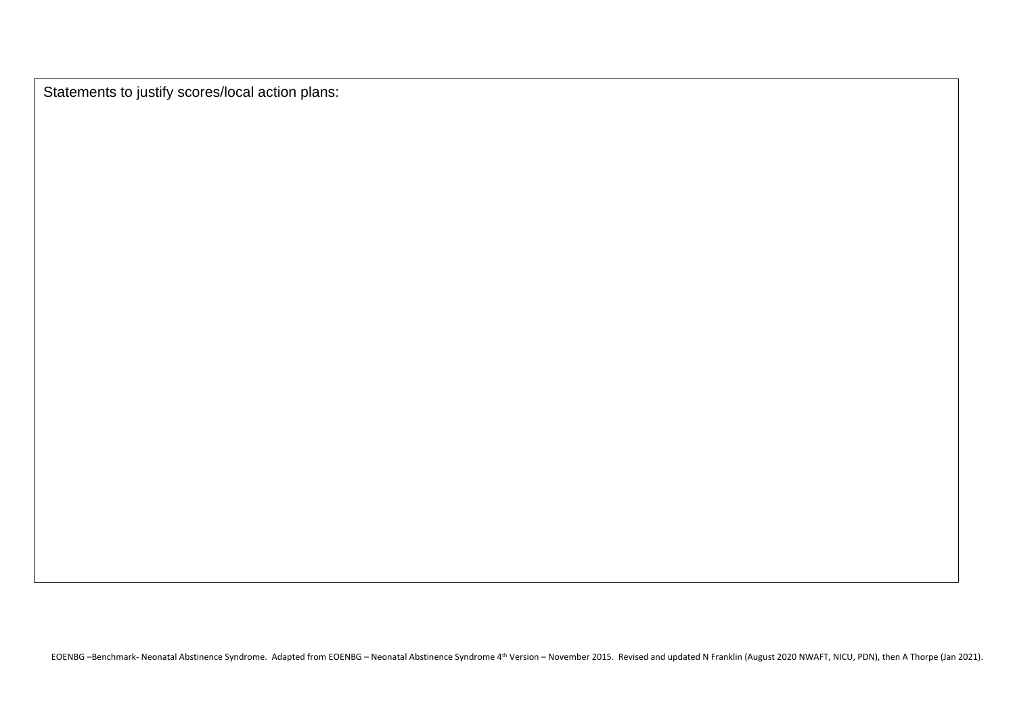Statements to justify scores/local action plans:

EOENBG -Benchmark- Neonatal Abstinence Syndrome. Adapted from EOENBG - Neonatal Abstinence Syndrome 4<sup>th</sup> Version - November 2015. Revised and updated N Franklin (August 2020 NWAFT, NICU, PDN), then A Thorpe (Jan 2021).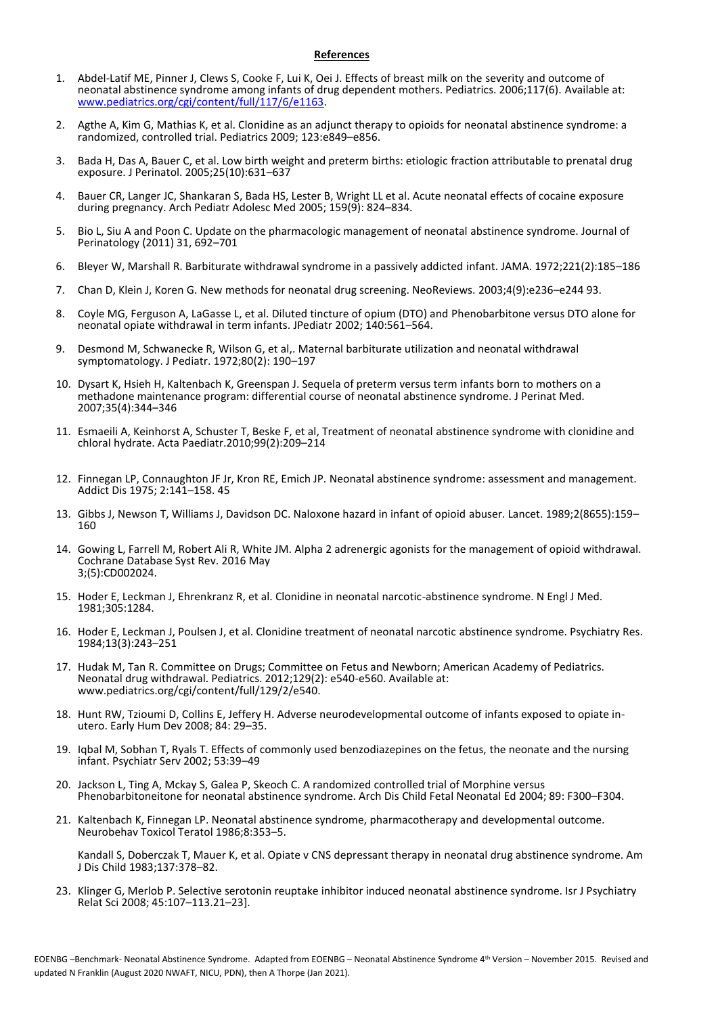## **References**

- 1. Abdel-Latif ME, Pinner J, Clews S, Cooke F, Lui K, Oei J. Effects of breast milk on the severity and outcome of neonatal abstinence syndrome among infants of drug dependent mothers. Pediatrics. 2006;117(6). Available at: [www.pediatrics.org/cgi/content/full/117/6/e1163.](http://www.pediatrics.org/cgi/content/full/117/6/e1163)
- 2. Agthe A, Kim G, Mathias K, et al. Clonidine as an adjunct therapy to opioids for neonatal abstinence syndrome: a randomized, controlled trial. Pediatrics 2009; 123:e849–e856.
- 3. Bada H, Das A, Bauer C, et al. Low birth weight and preterm births: etiologic fraction attributable to prenatal drug exposure. J Perinatol. 2005;25(10):631–637
- 4. Bauer CR, Langer JC, Shankaran S, Bada HS, Lester B, Wright LL et al. Acute neonatal effects of cocaine exposure during pregnancy. Arch Pediatr Adolesc Med 2005; 159(9): 824–834.
- 5. Bio L, Siu A and Poon C. Update on the pharmacologic management of neonatal abstinence syndrome. Journal of Perinatology (2011) 31, 692–701
- 6. Bleyer W, Marshall R. Barbiturate withdrawal syndrome in a passively addicted infant. JAMA. 1972;221(2):185–186
- 7. Chan D, Klein J, Koren G. New methods for neonatal drug screening. NeoReviews. 2003;4(9):e236–e244 93.
- 8. Coyle MG, Ferguson A, LaGasse L, et al. Diluted tincture of opium (DTO) and Phenobarbitone versus DTO alone for neonatal opiate withdrawal in term infants. JPediatr 2002; 140:561–564.
- 9. Desmond M, Schwanecke R, Wilson G, et al,. Maternal barbiturate utilization and neonatal withdrawal symptomatology. J Pediatr. 1972;80(2): 190–197
- 10. Dysart K, Hsieh H, Kaltenbach K, Greenspan J. Sequela of preterm versus term infants born to mothers on a methadone maintenance program: differential course of neonatal abstinence syndrome. J Perinat Med. 2007;35(4):344–346
- 11. Esmaeili A, Keinhorst A, Schuster T, Beske F, et al, Treatment of neonatal abstinence syndrome with clonidine and chloral hydrate. Acta Paediatr.2010;99(2):209–214
- 12. Finnegan LP, Connaughton JF Jr, Kron RE, Emich JP. Neonatal abstinence syndrome: assessment and management. Addict Dis 1975; 2:141–158. 45
- 13. Gibbs J, Newson T, Williams J, Davidson DC. Naloxone hazard in infant of opioid abuser. Lancet. 1989;2(8655):159– 160
- 14. Gowing L, Farrell M, Robert Ali R, White JM. Alpha 2 adrenergic agonists for the management of opioid withdrawal. Cochrane Database Syst Rev. 2016 May 3;(5):CD002024.
- 15. Hoder E, Leckman J, Ehrenkranz R, et al. Clonidine in neonatal narcotic-abstinence syndrome. N Engl J Med. 1981;305:1284.
- 16. Hoder E, Leckman J, Poulsen J, et al. Clonidine treatment of neonatal narcotic abstinence syndrome. Psychiatry Res. 1984;13(3):243–251
- 17. Hudak M, Tan R. Committee on Drugs; Committee on Fetus and Newborn; American Academy of Pediatrics. Neonatal drug withdrawal. Pediatrics. 2012;129(2): e540-e560. Available at: www.pediatrics.org/cgi/content/full/129/2/e540.
- 18. Hunt RW, Tzioumi D, Collins E, Jeffery H. Adverse neurodevelopmental outcome of infants exposed to opiate inutero. Early Hum Dev 2008; 84: 29–35.
- 19. Iqbal M, Sobhan T, Ryals T. Effects of commonly used benzodiazepines on the fetus, the neonate and the nursing infant. Psychiatr Serv 2002; 53:39–49
- 20. Jackson L, Ting A, Mckay S, Galea P, Skeoch C. A randomized controlled trial of Morphine versus Phenobarbitoneitone for neonatal abstinence syndrome. Arch Dis Child Fetal Neonatal Ed 2004; 89: F300–F304.
- 21. Kaltenbach K, Finnegan LP. Neonatal abstinence syndrome, pharmacotherapy and developmental outcome. Neurobehav Toxicol Teratol 1986;8:353–5.

Kandall S, Doberczak T, Mauer K, et al. Opiate v CNS depressant therapy in neonatal drug abstinence syndrome. Am J Dis Child 1983;137:378–82.

23. Klinger G, Merlob P. Selective serotonin reuptake inhibitor induced neonatal abstinence syndrome. Isr J Psychiatry Relat Sci 2008; 45:107–113.21–23].